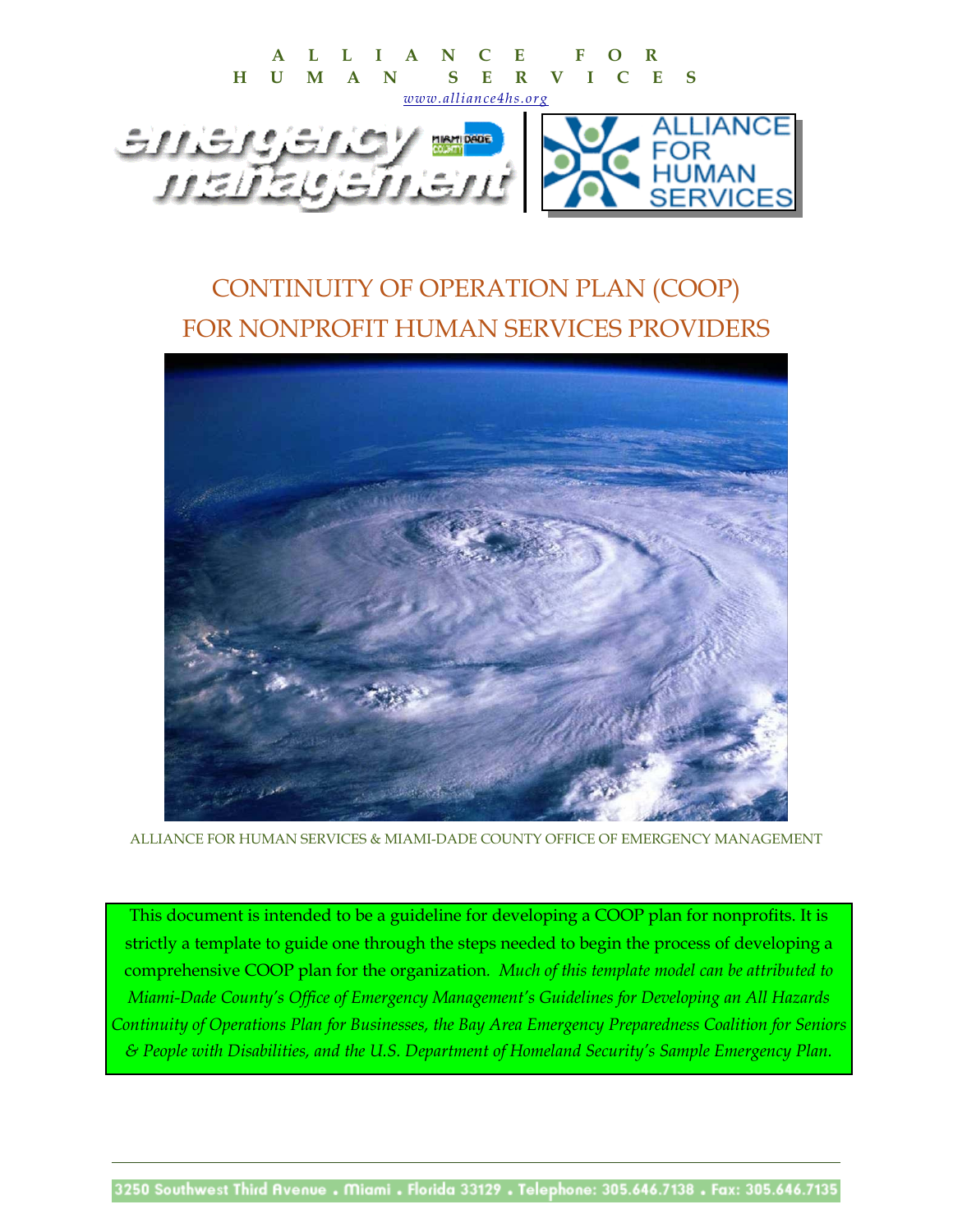

# CONTINUITY OF OPERATION PLAN (COOP) FOR NONPROFIT HUMAN SERVICES PROVIDERS



ALLIANCE FOR HUMAN SERVICES & MIAMI-DADE COUNTY OFFICE OF EMERGENCY MANAGEMENT

This document is intended to be a guideline for developing a COOP plan for nonprofits. It is strictly a template to guide one through the steps needed to begin the process of developing a comprehensive COOP plan for the organization*. Much of this template model can be attributed to Miami-Dade County's Office of Emergency Management's Guidelines for Developing an All Hazards Continuity of Operations Plan for Businesses, the Bay Area Emergency Preparedness Coalition for Seniors & People with Disabilities, and the U.S. Department of Homeland Security's Sample Emergency Plan.*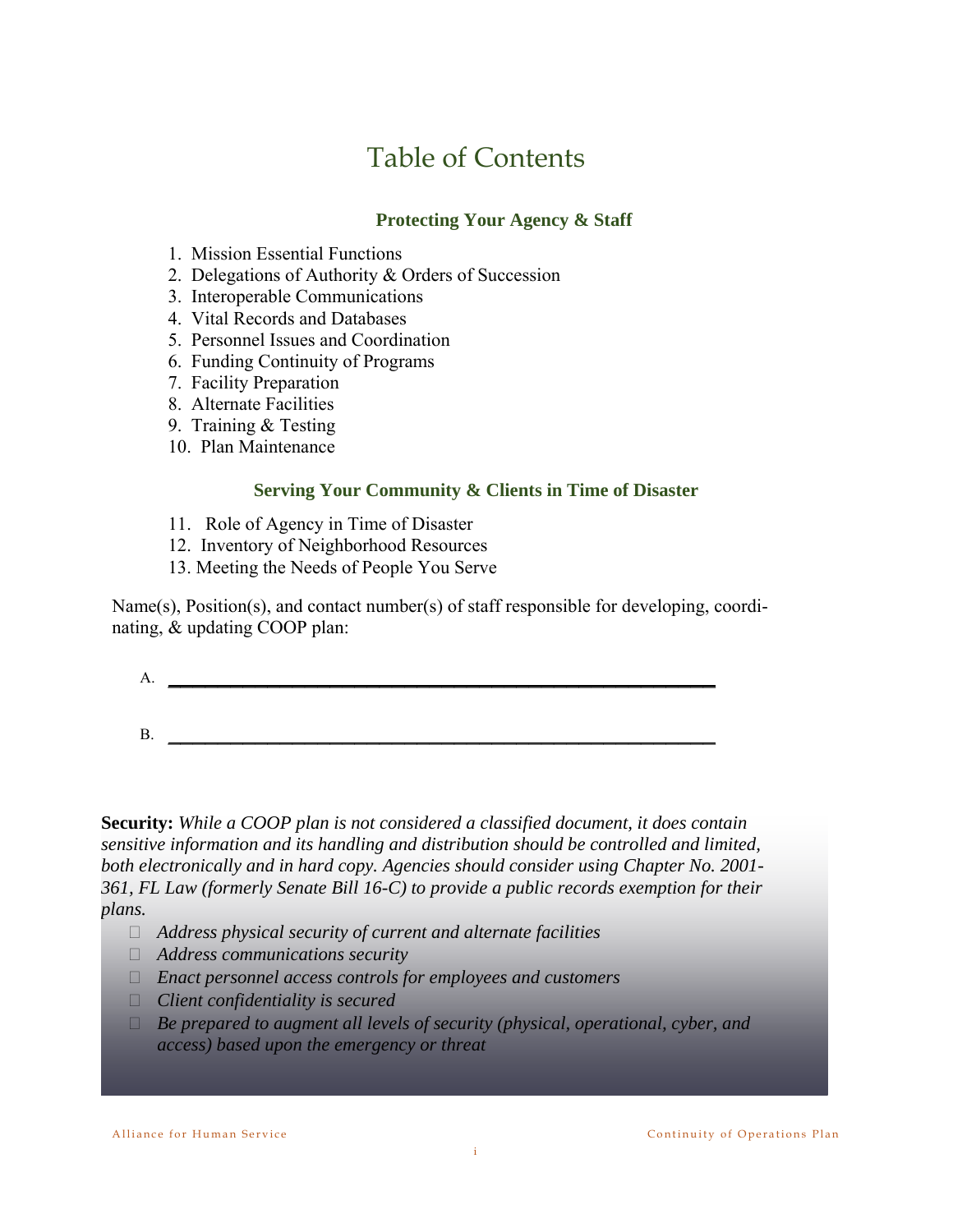# Table of Contents

#### **Protecting Your Agency & Staff**

- 1. Mission Essential Functions
- 2. Delegations of Authority & Orders of Succession
- 3. Interoperable Communications
- 4. Vital Records and Databases
- 5. Personnel Issues and Coordination
- 6. Funding Continuity of Programs
- 7. Facility Preparation
- 8. Alternate Facilities
- 9. Training & Testing
- 10. Plan Maintenance

#### **Serving Your Community & Clients in Time of Disaster**

- 11. Role of Agency in Time of Disaster
- 12. Inventory of Neighborhood Resources
- 13. Meeting the Needs of People You Serve

Name(s), Position(s), and contact number(s) of staff responsible for developing, coordinating, & updating COOP plan:

 $A.$  $B$ .

**Security:** *While a COOP plan is not considered a classified document, it does contain sensitive information and its handling and distribution should be controlled and limited, both electronically and in hard copy. Agencies should consider using Chapter No. 2001- 361, FL Law (formerly Senate Bill 16-C) to provide a public records exemption for their plans.* 

- *Address physical security of current and alternate facilities*
- *Address communications security*
- *Enact personnel access controls for employees and customers*
- *Client confidentiality is secured*
- *Be prepared to augment all levels of security (physical, operational, cyber, and access) based upon the emergency or threat*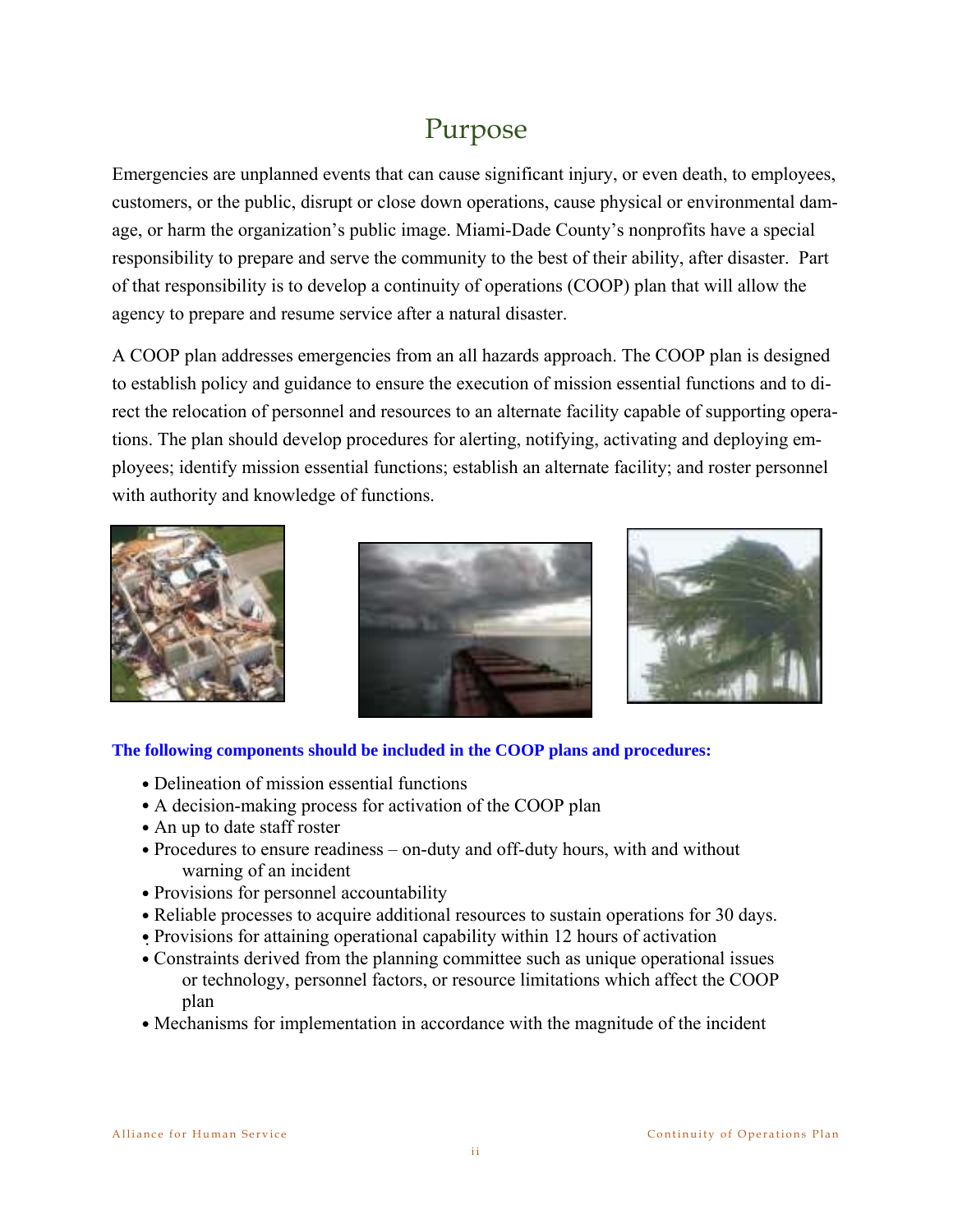# Purpose

Emergencies are unplanned events that can cause significant injury, or even death, to employees, customers, or the public, disrupt or close down operations, cause physical or environmental damage, or harm the organization's public image. Miami-Dade County's nonprofits have a special responsibility to prepare and serve the community to the best of their ability, after disaster. Part of that responsibility is to develop a continuity of operations (COOP) plan that will allow the agency to prepare and resume service after a natural disaster.

A COOP plan addresses emergencies from an all hazards approach. The COOP plan is designed to establish policy and guidance to ensure the execution of mission essential functions and to direct the relocation of personnel and resources to an alternate facility capable of supporting operations. The plan should develop procedures for alerting, notifying, activating and deploying employees; identify mission essential functions; establish an alternate facility; and roster personnel with authority and knowledge of functions.







**The following components should be included in the COOP plans and procedures:** 

- Delineation of mission essential functions
- A decision-making process for activation of the COOP plan
- An up to date staff roster
- Procedures to ensure readiness on-duty and off-duty hours, with and without warning of an incident
- Provisions for personnel accountability
- Reliable processes to acquire additional resources to sustain operations for 30 days.
- Provisions for attaining operational capability within 12 hours of activation
- Constraints derived from the planning committee such as unique operational issues or technology, personnel factors, or resource limitations which affect the COOP plan
- Mechanisms for implementation in accordance with the magnitude of the incident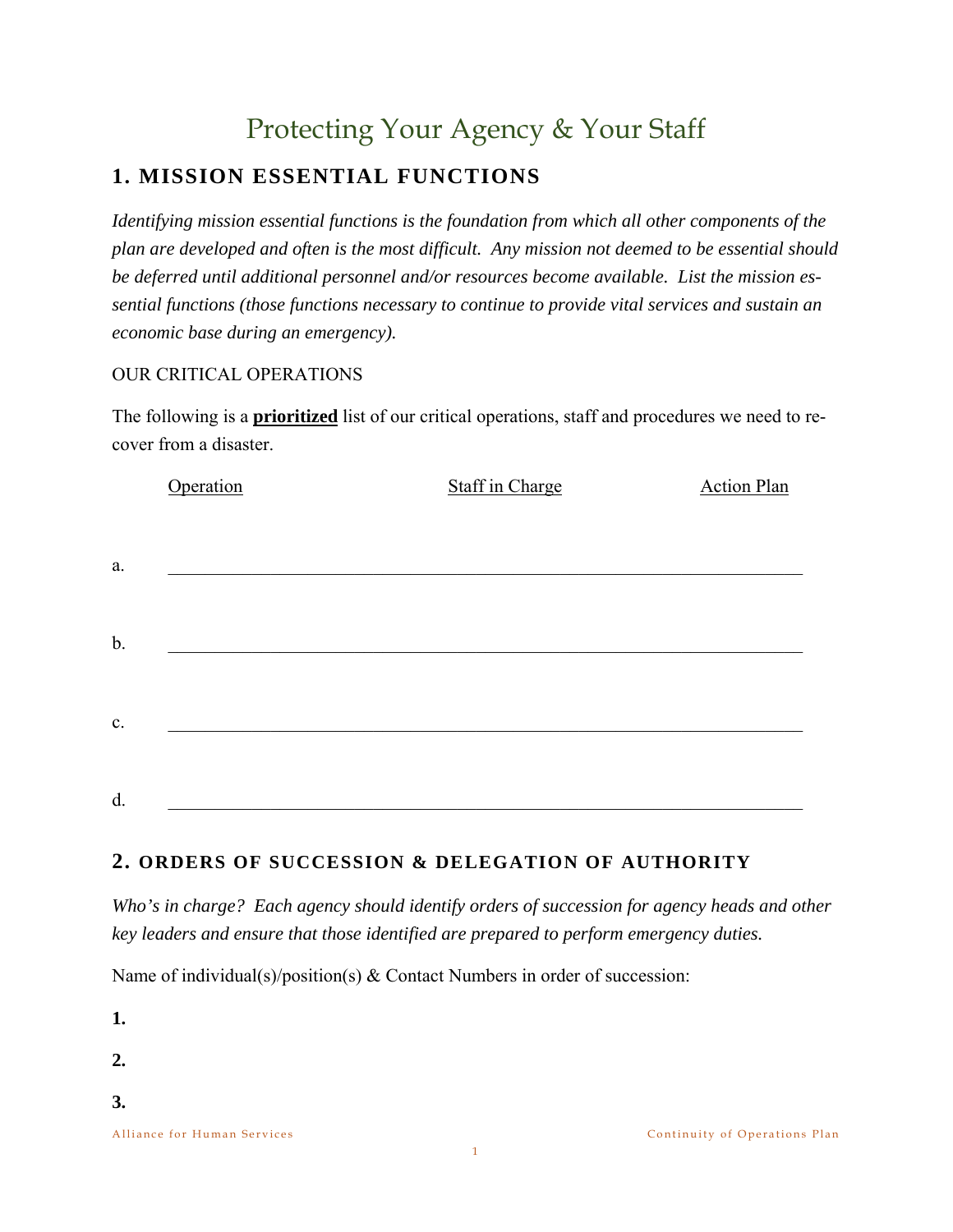# Protecting Your Agency & Your Staff

# **1. MISSION ESSENTIAL FUNCTIONS**

*Identifying mission essential functions is the foundation from which all other components of the plan are developed and often is the most difficult. Any mission not deemed to be essential should be deferred until additional personnel and/or resources become available. List the mission essential functions (those functions necessary to continue to provide vital services and sustain an economic base during an emergency).* 

#### OUR CRITICAL OPERATIONS

The following is a **prioritized** list of our critical operations, staff and procedures we need to recover from a disaster.

|    | Operation | <b>Staff in Charge</b> | <b>Action Plan</b> |
|----|-----------|------------------------|--------------------|
|    |           |                        |                    |
| a. |           |                        |                    |
|    |           |                        |                    |
| b. |           |                        |                    |
|    |           |                        |                    |
| c. |           |                        |                    |
|    |           |                        |                    |
| d. |           |                        |                    |
|    |           |                        |                    |

### **2. ORDERS OF SUCCESSION & DELEGATION OF AUTHORITY**

*Who's in charge? Each agency should identify orders of succession for agency heads and other key leaders and ensure that those identified are prepared to perform emergency duties.* 

Name of individual(s)/position(s) & Contact Numbers in order of succession:

**1.** 

**2.** 

**3.**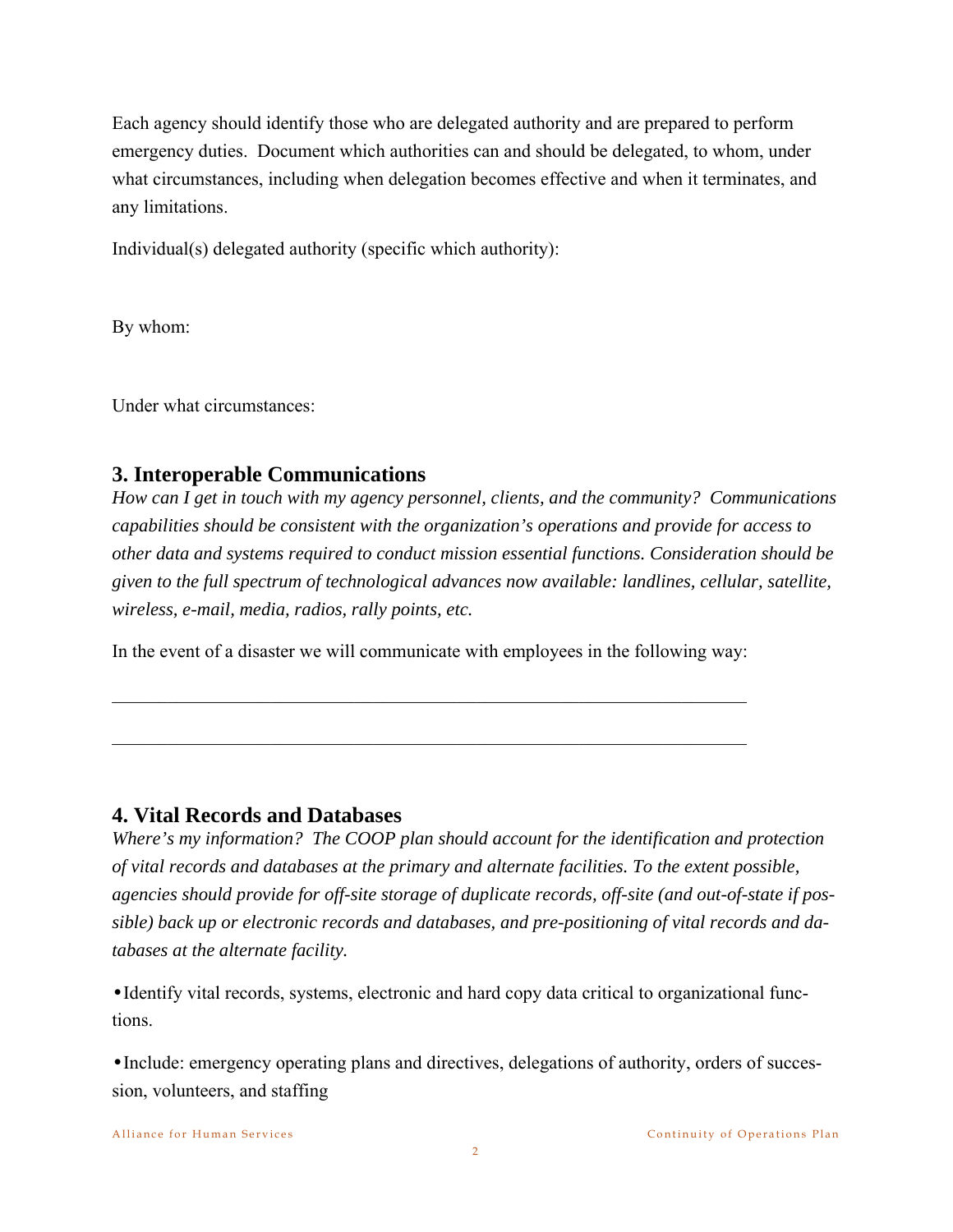Each agency should identify those who are delegated authority and are prepared to perform emergency duties. Document which authorities can and should be delegated, to whom, under what circumstances, including when delegation becomes effective and when it terminates, and any limitations.

Individual(s) delegated authority (specific which authority):

By whom:

Under what circumstances:

# **3. Interoperable Communications**

*How can I get in touch with my agency personnel, clients, and the community? Communications capabilities should be consistent with the organization's operations and provide for access to other data and systems required to conduct mission essential functions. Consideration should be given to the full spectrum of technological advances now available: landlines, cellular, satellite, wireless, e-mail, media, radios, rally points, etc.* 

In the event of a disaster we will communicate with employees in the following way:

 $\mathcal{L}_\text{max} = \mathcal{L}_\text{max} = \mathcal{L}_\text{max} = \mathcal{L}_\text{max} = \mathcal{L}_\text{max} = \mathcal{L}_\text{max} = \mathcal{L}_\text{max} = \mathcal{L}_\text{max} = \mathcal{L}_\text{max} = \mathcal{L}_\text{max} = \mathcal{L}_\text{max} = \mathcal{L}_\text{max} = \mathcal{L}_\text{max} = \mathcal{L}_\text{max} = \mathcal{L}_\text{max} = \mathcal{L}_\text{max} = \mathcal{L}_\text{max} = \mathcal{L}_\text{max} = \mathcal{$ 

 $\mathcal{L}_\text{max} = \mathcal{L}_\text{max} = \mathcal{L}_\text{max} = \mathcal{L}_\text{max} = \mathcal{L}_\text{max} = \mathcal{L}_\text{max} = \mathcal{L}_\text{max} = \mathcal{L}_\text{max} = \mathcal{L}_\text{max} = \mathcal{L}_\text{max} = \mathcal{L}_\text{max} = \mathcal{L}_\text{max} = \mathcal{L}_\text{max} = \mathcal{L}_\text{max} = \mathcal{L}_\text{max} = \mathcal{L}_\text{max} = \mathcal{L}_\text{max} = \mathcal{L}_\text{max} = \mathcal{$ 

## **4. Vital Records and Databases**

*Where's my information? The COOP plan should account for the identification and protection of vital records and databases at the primary and alternate facilities. To the extent possible, agencies should provide for off-site storage of duplicate records, off-site (and out-of-state if possible) back up or electronic records and databases, and pre-positioning of vital records and databases at the alternate facility.* 

•Identify vital records, systems, electronic and hard copy data critical to organizational functions.

•Include: emergency operating plans and directives, delegations of authority, orders of succession, volunteers, and staffing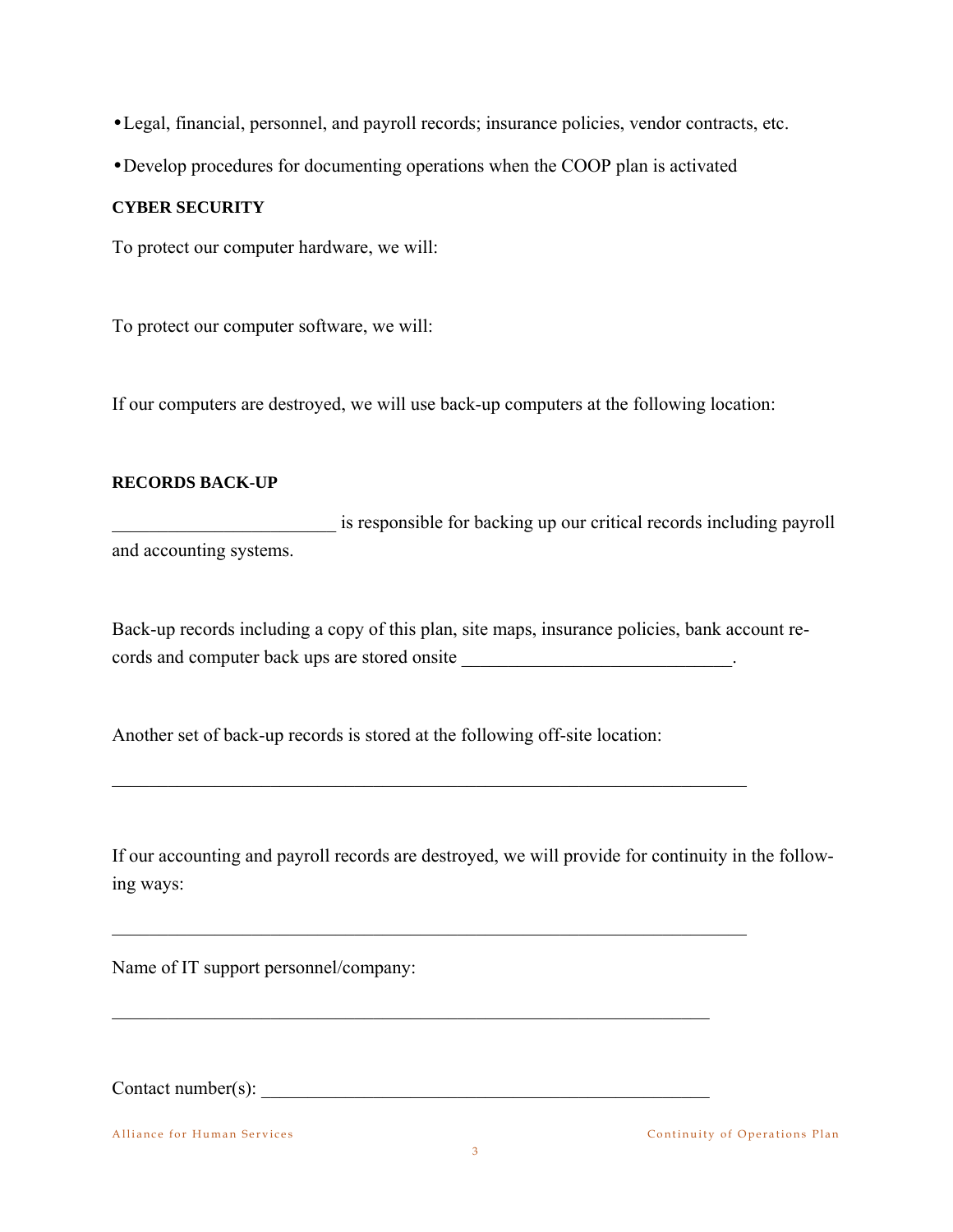•Legal, financial, personnel, and payroll records; insurance policies, vendor contracts, etc.

•Develop procedures for documenting operations when the COOP plan is activated

#### **CYBER SECURITY**

To protect our computer hardware, we will:

To protect our computer software, we will:

If our computers are destroyed, we will use back-up computers at the following location:

#### **RECORDS BACK-UP**

is responsible for backing up our critical records including payroll and accounting systems.

Back-up records including a copy of this plan, site maps, insurance policies, bank account records and computer back ups are stored onsite \_\_\_\_\_\_\_\_\_\_\_\_\_\_\_\_\_\_\_\_\_\_\_\_\_\_\_\_\_\_\_\_\_\_.

Another set of back-up records is stored at the following off-site location:

 $\mathcal{L}_\mathcal{L} = \mathcal{L}_\mathcal{L} = \mathcal{L}_\mathcal{L} = \mathcal{L}_\mathcal{L} = \mathcal{L}_\mathcal{L} = \mathcal{L}_\mathcal{L} = \mathcal{L}_\mathcal{L} = \mathcal{L}_\mathcal{L} = \mathcal{L}_\mathcal{L} = \mathcal{L}_\mathcal{L} = \mathcal{L}_\mathcal{L} = \mathcal{L}_\mathcal{L} = \mathcal{L}_\mathcal{L} = \mathcal{L}_\mathcal{L} = \mathcal{L}_\mathcal{L} = \mathcal{L}_\mathcal{L} = \mathcal{L}_\mathcal{L}$ 

 $\mathcal{L}_\mathcal{L} = \mathcal{L}_\mathcal{L} = \mathcal{L}_\mathcal{L} = \mathcal{L}_\mathcal{L} = \mathcal{L}_\mathcal{L} = \mathcal{L}_\mathcal{L} = \mathcal{L}_\mathcal{L} = \mathcal{L}_\mathcal{L} = \mathcal{L}_\mathcal{L} = \mathcal{L}_\mathcal{L} = \mathcal{L}_\mathcal{L} = \mathcal{L}_\mathcal{L} = \mathcal{L}_\mathcal{L} = \mathcal{L}_\mathcal{L} = \mathcal{L}_\mathcal{L} = \mathcal{L}_\mathcal{L} = \mathcal{L}_\mathcal{L}$ 

 $\mathcal{L}_\text{max}$  , and the contribution of the contribution of the contribution of the contribution of the contribution of the contribution of the contribution of the contribution of the contribution of the contribution of t

If our accounting and payroll records are destroyed, we will provide for continuity in the following ways:

Name of IT support personnel/company:

 $\text{Context number(s):}$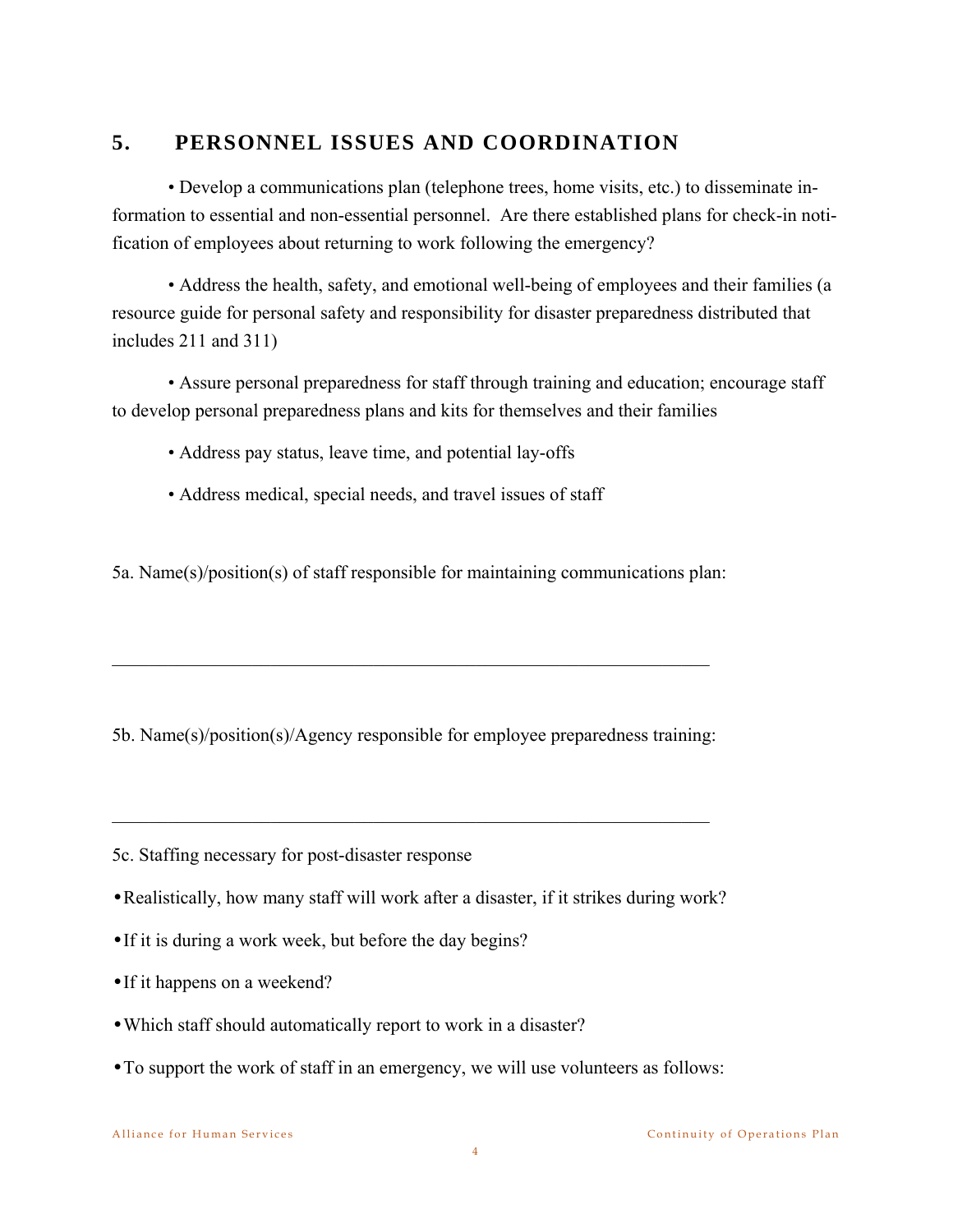## **5. PERSONNEL ISSUES AND COORDINATION**

• Develop a communications plan (telephone trees, home visits, etc.) to disseminate information to essential and non-essential personnel. Are there established plans for check-in notification of employees about returning to work following the emergency?

 • Address the health, safety, and emotional well-being of employees and their families (a resource guide for personal safety and responsibility for disaster preparedness distributed that includes 211 and 311)

 • Assure personal preparedness for staff through training and education; encourage staff to develop personal preparedness plans and kits for themselves and their families

- Address pay status, leave time, and potential lay-offs
- Address medical, special needs, and travel issues of staff

5a. Name(s)/position(s) of staff responsible for maintaining communications plan:

5b. Name(s)/position(s)/Agency responsible for employee preparedness training:

 $\mathcal{L}_\text{max}$  , and the contribution of the contribution of the contribution of the contribution of the contribution of the contribution of the contribution of the contribution of the contribution of the contribution of t

 $\mathcal{L}_\text{max}$  , and the contribution of the contribution of the contribution of the contribution of the contribution of the contribution of the contribution of the contribution of the contribution of the contribution of t

5c. Staffing necessary for post-disaster response

- •Realistically, how many staff will work after a disaster, if it strikes during work?
- •If it is during a work week, but before the day begins?
- •If it happens on a weekend?
- •Which staff should automatically report to work in a disaster?
- •To support the work of staff in an emergency, we will use volunteers as follows: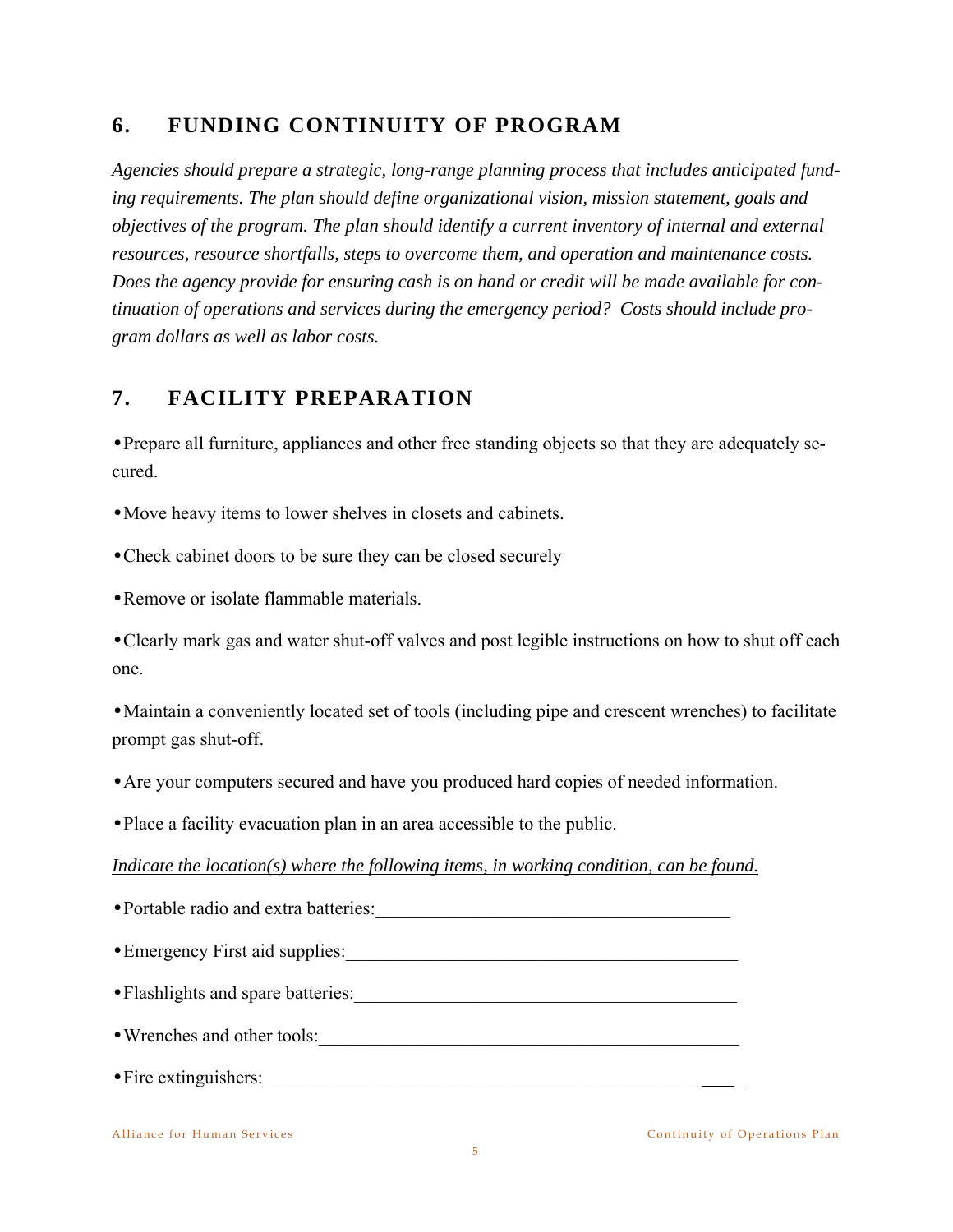# **6. FUNDING CONTINUITY OF PROGRAM**

*Agencies should prepare a strategic, long-range planning process that includes anticipated funding requirements. The plan should define organizational vision, mission statement, goals and objectives of the program. The plan should identify a current inventory of internal and external resources, resource shortfalls, steps to overcome them, and operation and maintenance costs. Does the agency provide for ensuring cash is on hand or credit will be made available for continuation of operations and services during the emergency period? Costs should include program dollars as well as labor costs.* 

# **7. FACILITY PREPARATION**

•Prepare all furniture, appliances and other free standing objects so that they are adequately secured.

•Move heavy items to lower shelves in closets and cabinets.

•Check cabinet doors to be sure they can be closed securely

•Remove or isolate flammable materials.

•Clearly mark gas and water shut-off valves and post legible instructions on how to shut off each one.

•Maintain a conveniently located set of tools (including pipe and crescent wrenches) to facilitate prompt gas shut-off.

•Are your computers secured and have you produced hard copies of needed information.

•Place a facility evacuation plan in an area accessible to the public.

*Indicate the location(s) where the following items, in working condition, can be found.*

| • Portable radio and extra batteries: |  |  |  |  |
|---------------------------------------|--|--|--|--|
| • Emergency First aid supplies:       |  |  |  |  |
| • Flashlights and spare batteries:    |  |  |  |  |
| • Wrenches and other tools:           |  |  |  |  |
| • Fire extinguishers:                 |  |  |  |  |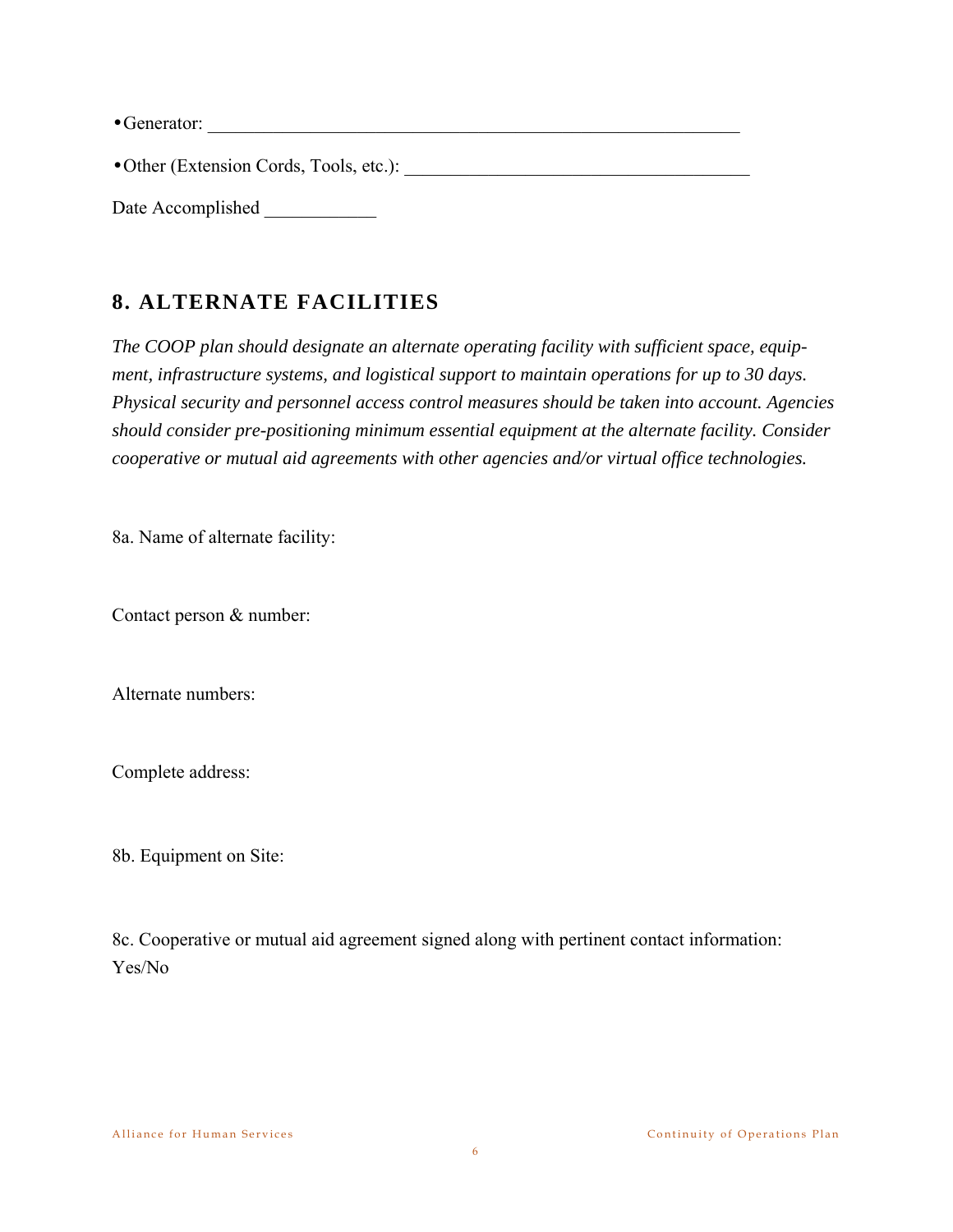• Generator:

•Other (Extension Cords, Tools, etc.): \_\_\_\_\_\_\_\_\_\_\_\_\_\_\_\_\_\_\_\_\_\_\_\_\_\_\_\_\_\_\_\_\_\_\_\_\_

Date Accomplished

# **8. ALTERNATE FACILITIES**

*The COOP plan should designate an alternate operating facility with sufficient space, equipment, infrastructure systems, and logistical support to maintain operations for up to 30 days. Physical security and personnel access control measures should be taken into account. Agencies should consider pre-positioning minimum essential equipment at the alternate facility. Consider cooperative or mutual aid agreements with other agencies and/or virtual office technologies.* 

8a. Name of alternate facility:

Contact person & number:

Alternate numbers:

Complete address:

8b. Equipment on Site:

8c. Cooperative or mutual aid agreement signed along with pertinent contact information: Yes/No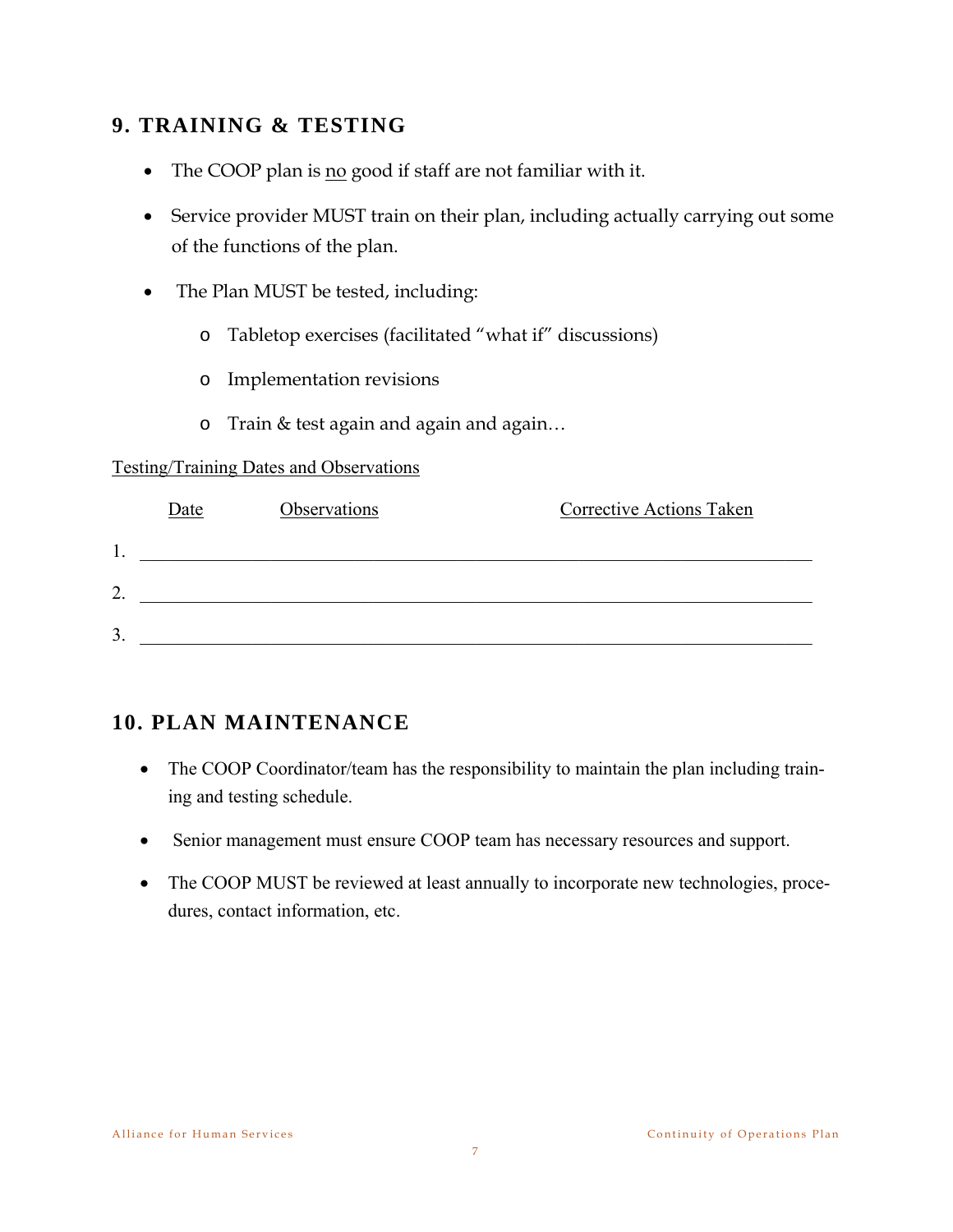# **9. TRAINING & TESTING**

- The COOP plan is no good if staff are not familiar with it.
- Service provider MUST train on their plan, including actually carrying out some of the functions of the plan.
- The Plan MUST be tested, including:
	- o Tabletop exercises (facilitated "what if" discussions)
	- o Implementation revisions
	- o Train & test again and again and again…

#### Testing/Training Dates and Observations

|                  | Date | Observations | <b>Corrective Actions Taken</b> |
|------------------|------|--------------|---------------------------------|
| 1.               |      |              |                                 |
| $\overline{2}$ . |      |              |                                 |
| 3.               |      |              |                                 |

## **10. PLAN MAINTENANCE**

- The COOP Coordinator/team has the responsibility to maintain the plan including training and testing schedule.
- Senior management must ensure COOP team has necessary resources and support.
- The COOP MUST be reviewed at least annually to incorporate new technologies, procedures, contact information, etc.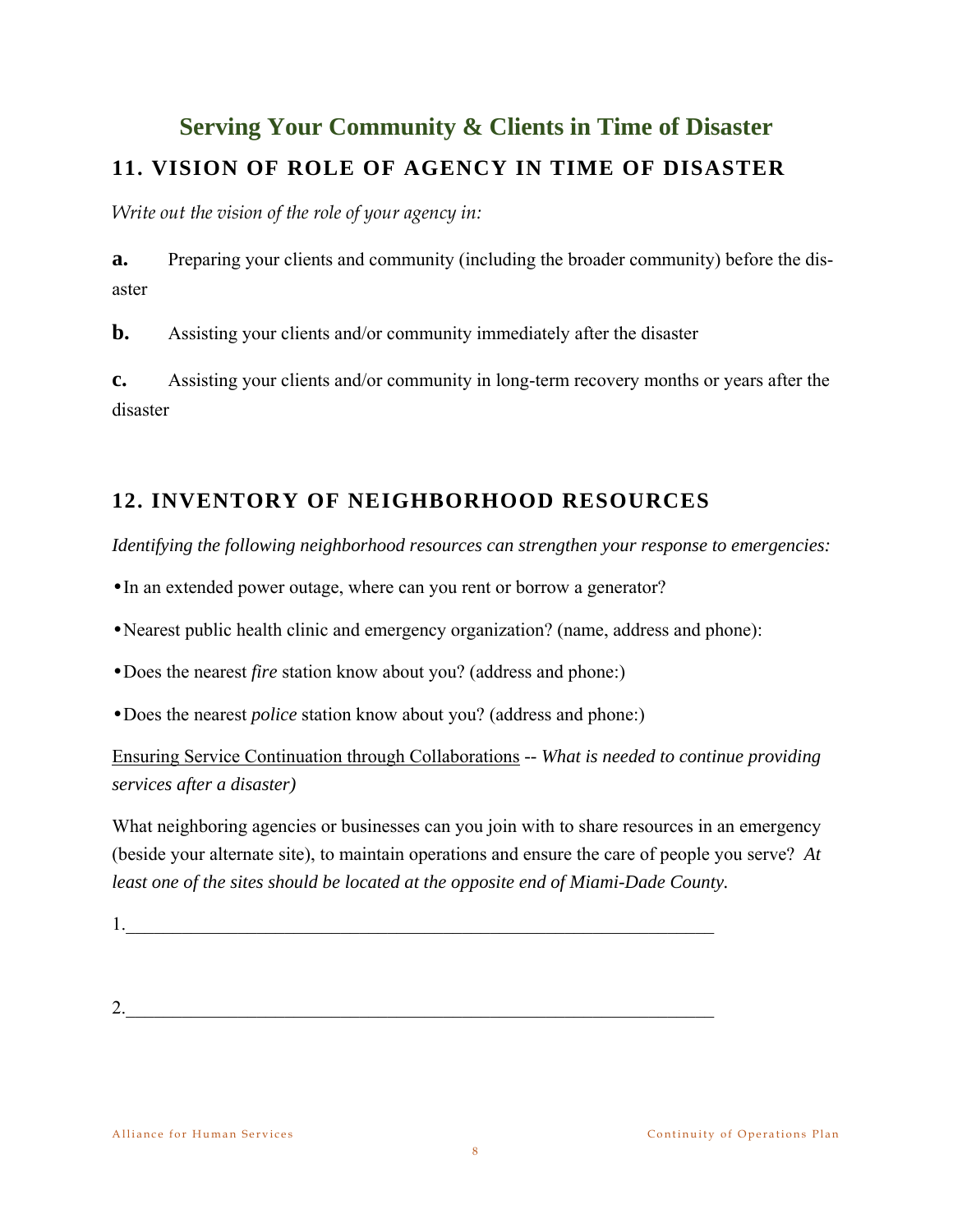# **Serving Your Community & Clients in Time of Disaster 11. VISION OF ROLE OF AGENCY IN TIME OF DISASTER**

*Write out the vision of the role of your agency in:* 

**a.** Preparing your clients and community (including the broader community) before the disaster

**b.** Assisting your clients and/or community immediately after the disaster

**c.** Assisting your clients and/or community in long-term recovery months or years after the disaster

# **12. INVENTORY OF NEIGHBORHOOD RESOURCES**

*Identifying the following neighborhood resources can strengthen your response to emergencies:*

•In an extended power outage, where can you rent or borrow a generator?

- •Nearest public health clinic and emergency organization? (name, address and phone):
- •Does the nearest *fire* station know about you? (address and phone:)
- •Does the nearest *police* station know about you? (address and phone:)

Ensuring Service Continuation through Collaborations *-- What is needed to continue providing services after a disaster)* 

What neighboring agencies or businesses can you join with to share resources in an emergency (beside your alternate site), to maintain operations and ensure the care of people you serve? *At least one of the sites should be located at the opposite end of Miami-Dade County.* 

1.  $\blacksquare$ 

 $2.$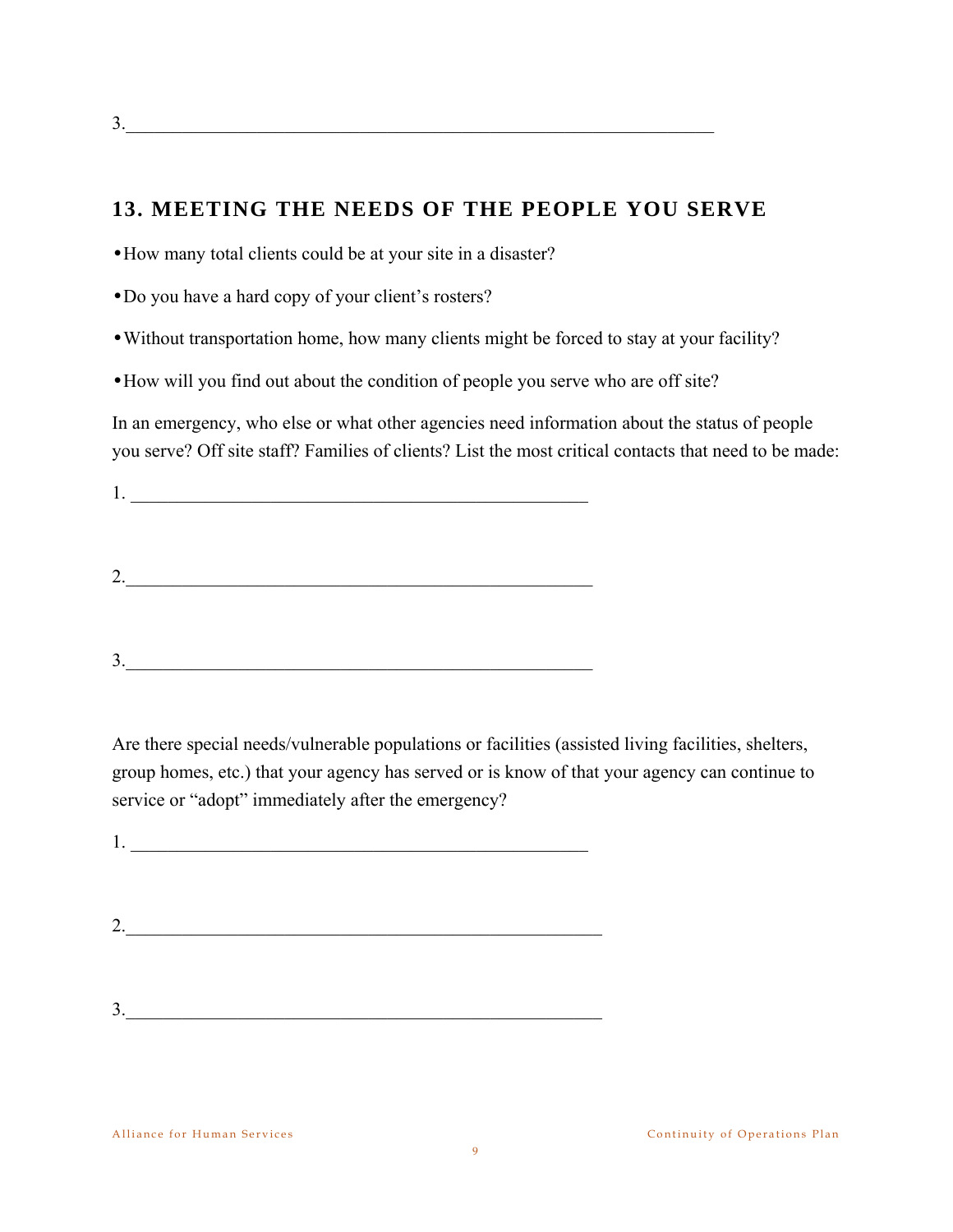# **13. MEETING THE NEEDS OF THE PEOPLE YOU SERVE**

•How many total clients could be at your site in a disaster?

•Do you have a hard copy of your client's rosters?

•Without transportation home, how many clients might be forced to stay at your facility?

•How will you find out about the condition of people you serve who are off site?

In an emergency, who else or what other agencies need information about the status of people you serve? Off site staff? Families of clients? List the most critical contacts that need to be made:

1. \_\_\_\_\_\_\_\_\_\_\_\_\_\_\_\_\_\_\_\_\_\_\_\_\_\_\_\_\_\_\_\_\_\_\_\_\_\_\_\_\_\_\_\_\_\_\_\_\_

2.\_\_\_\_\_\_\_\_\_\_\_\_\_\_\_\_\_\_\_\_\_\_\_\_\_\_\_\_\_\_\_\_\_\_\_\_\_\_\_\_\_\_\_\_\_\_\_\_\_\_

 $3.$ 

Are there special needs/vulnerable populations or facilities (assisted living facilities, shelters, group homes, etc.) that your agency has served or is know of that your agency can continue to service or "adopt" immediately after the emergency?

 $1.$ 

- $2.$
- $3.$